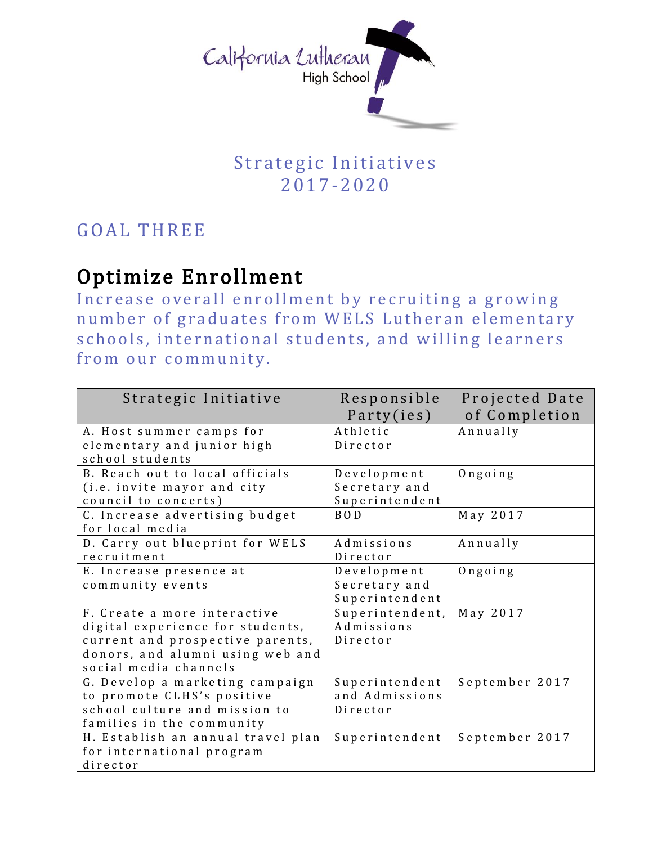

## Strategic Initiatives 2017-2 0 20

## GOAL THREE

## Optimize Enrollment

Increase overall enrollment by recruiting a growing number of graduates from WELS Lutheran elementary schools, international students, and willing learners from our community.

| Strategic Initiative                                                                                                                                              | Responsible<br>Party(ies)                      | Projected Date<br>of Completion |
|-------------------------------------------------------------------------------------------------------------------------------------------------------------------|------------------------------------------------|---------------------------------|
| A. Host summer camps for<br>elementary and junior high<br>school students                                                                                         | Athletic<br>Director                           | Annually                        |
| B. Reach out to local officials<br>(i.e. invite mayor and city<br>council to concerts)                                                                            | Development<br>Secretary and<br>Superintendent | $0$ ngoing                      |
| C. Increase advertising budget<br>for local media                                                                                                                 | B <sub>O</sub> D                               | May 2017                        |
| D. Carry out blueprint for WELS<br>recruitment                                                                                                                    | Admissions<br>Director                         | Annually                        |
| E. Increase presence at<br>community events                                                                                                                       | Development<br>Secretary and<br>Superintendent | $0$ ngoing                      |
| F. Create a more interactive<br>digital experience for students,<br>current and prospective parents,<br>donors, and alumni using web and<br>social media channels | Superintendent,<br>Admissions<br>Director      | May 2017                        |
| G. Develop a marketing campaign<br>to promote CLHS's positive<br>school culture and mission to<br>families in the community                                       | Superintendent<br>and Admissions<br>Director   | September 2017                  |
| H. Establish an annual travel plan<br>for international program<br>director                                                                                       | Superintendent                                 | September 2017                  |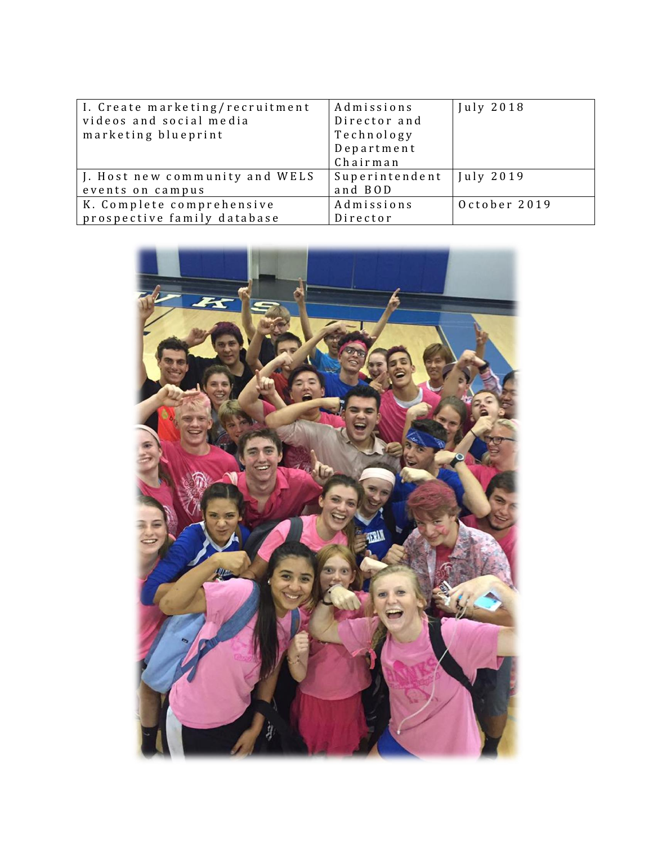| I. Create marketing/recruitment | Admissions     | July 2018    |
|---------------------------------|----------------|--------------|
| videos and social media         | Director and   |              |
| marketing blueprint             | Technology     |              |
|                                 | Department     |              |
|                                 | Chairman       |              |
| J. Host new community and WELS  | Superintendent | July 2019    |
| events on campus                | and BOD        |              |
| K. Complete comprehensive       | Admissions     | October 2019 |
| prospective family database     | Director       |              |

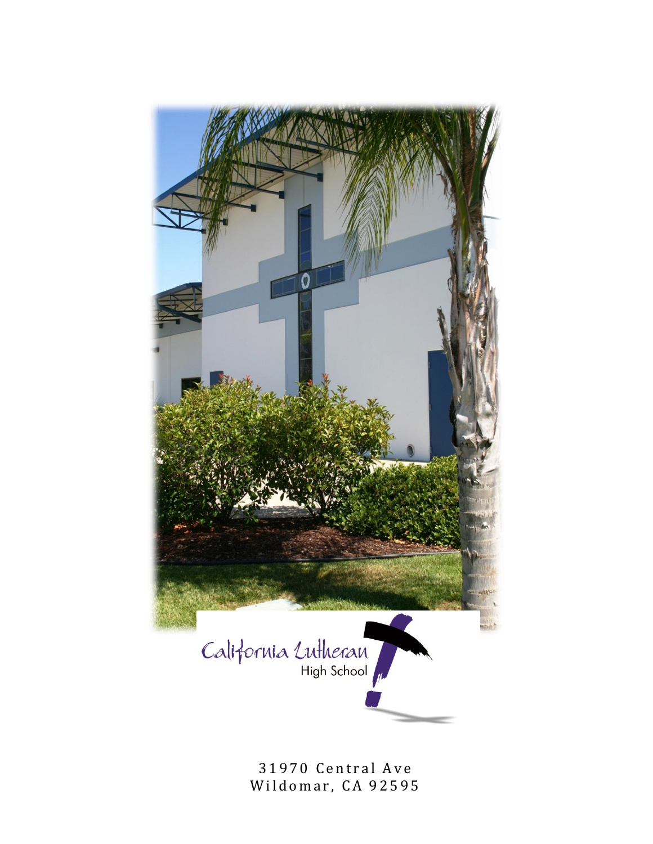

31970 Central Ave Wildomar, CA 92595